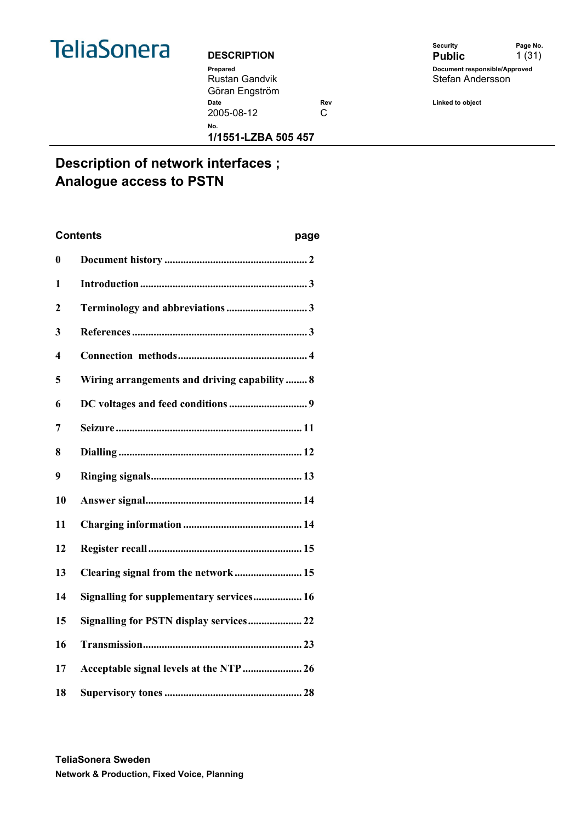

#### **DESCRIPTION**

Rustan Gandvik Göran Engström

|                    | Security                      | Page No. |
|--------------------|-------------------------------|----------|
| <b>DESCRIPTION</b> | <b>Public</b>                 | 1(31)    |
| Prepared           | Document responsible/Approved |          |
| Rustan Gandvik     | Stefan Andersson              |          |
| Göran Engström     |                               |          |

2005-08-12 C

**No.** 

Date **Rev Rev Linked to object Date** 

**1/1551-LZBA 505 457** 

## **Description of network interfaces ; Analogue access to PSTN**

# **Contents page 0 Document history ..................................................... 2 1 Introduction.............................................................. 3 2 Terminology and abbreviations .............................. 3 3 References ................................................................. 3 4 Connection methods................................................ 4 5 Wiring arrangements and driving capability ........ 8 6 DC voltages and feed conditions ............................. 9 7 Seizure ..................................................................... 11 8 Dialling .................................................................... 12 9 Ringing signals........................................................ 13 10 Answer signal.......................................................... 14 11 Charging information ............................................ 14 12 Register recall......................................................... 15 13 Clearing signal from the network ......................... 15 14 Signalling for supplementary services.................. 16 15 Signalling for PSTN display services.................... 22 16 Transmission........................................................... 23 17 Acceptable signal levels at the NTP ...................... 26 18 Supervisory tones ................................................... 28**

**TeliaSonera Sweden Network & Production, Fixed Voice, Planning**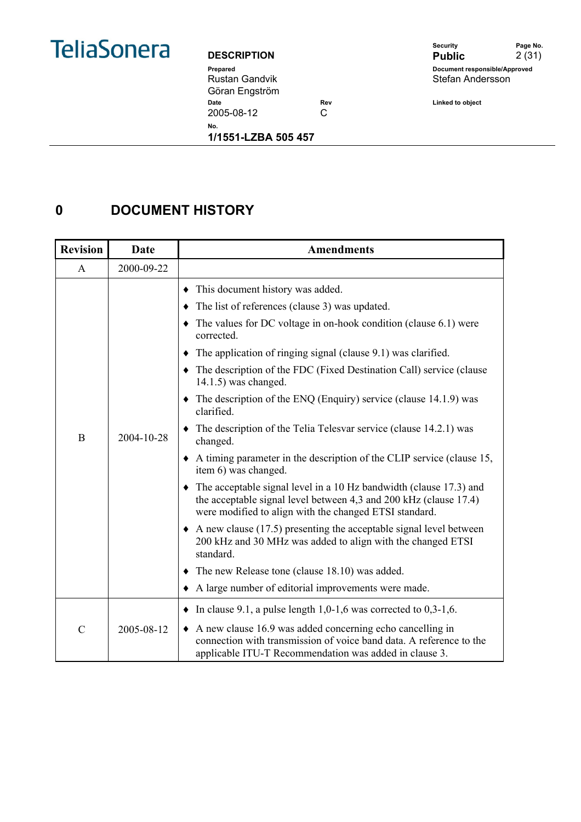

Rustan Gandvik Göran Engström 2005-08-12 C

Security **Page No. DESCRIPTION** Public 2 (31) **Prepared Document responsible/Approved**  Stefan Andersson

**Date Rev Example 2 Rev Linked to object** 

**No.** 

**1/1551-LZBA 505 457** 

## **0 DOCUMENT HISTORY**

| <b>Revision</b> | Date       | <b>Amendments</b>                                                                                                                                                                                                                                                                                                                                                                                                                                                                                                                                                                                                                                                                                                                                                                                                                                                                                                                                                                                                                                                                                                                                 |
|-----------------|------------|---------------------------------------------------------------------------------------------------------------------------------------------------------------------------------------------------------------------------------------------------------------------------------------------------------------------------------------------------------------------------------------------------------------------------------------------------------------------------------------------------------------------------------------------------------------------------------------------------------------------------------------------------------------------------------------------------------------------------------------------------------------------------------------------------------------------------------------------------------------------------------------------------------------------------------------------------------------------------------------------------------------------------------------------------------------------------------------------------------------------------------------------------|
| A               | 2000-09-22 |                                                                                                                                                                                                                                                                                                                                                                                                                                                                                                                                                                                                                                                                                                                                                                                                                                                                                                                                                                                                                                                                                                                                                   |
| B               | 2004-10-28 | This document history was added.<br>The list of references (clause 3) was updated.<br>The values for DC voltage in on-hook condition (clause 6.1) were<br>corrected.<br>The application of ringing signal (clause 9.1) was clarified.<br>The description of the FDC (Fixed Destination Call) service (clause<br>$14.1.5$ ) was changed.<br>$\bullet$ The description of the ENQ (Enquiry) service (clause 14.1.9) was<br>clarified.<br>$\bullet$ The description of the Telia Telesvar service (clause 14.2.1) was<br>changed.<br>$\bullet$ A timing parameter in the description of the CLIP service (clause 15,<br>item 6) was changed.<br>$\bullet$ The acceptable signal level in a 10 Hz bandwidth (clause 17.3) and<br>the acceptable signal level between 4,3 and 200 kHz (clause 17.4)<br>were modified to align with the changed ETSI standard.<br>$\triangle$ A new clause (17.5) presenting the acceptable signal level between<br>200 kHz and 30 MHz was added to align with the changed ETSI<br>standard.<br>$\blacklozenge$ The new Release tone (clause 18.10) was added.<br>• A large number of editorial improvements were made. |
| $\mathcal{C}$   | 2005-08-12 | $\bullet$ In clause 9.1, a pulse length 1,0-1,6 was corrected to 0,3-1,6.<br>$\triangle$ A new clause 16.9 was added concerning echo cancelling in<br>connection with transmission of voice band data. A reference to the<br>applicable ITU-T Recommendation was added in clause 3.                                                                                                                                                                                                                                                                                                                                                                                                                                                                                                                                                                                                                                                                                                                                                                                                                                                               |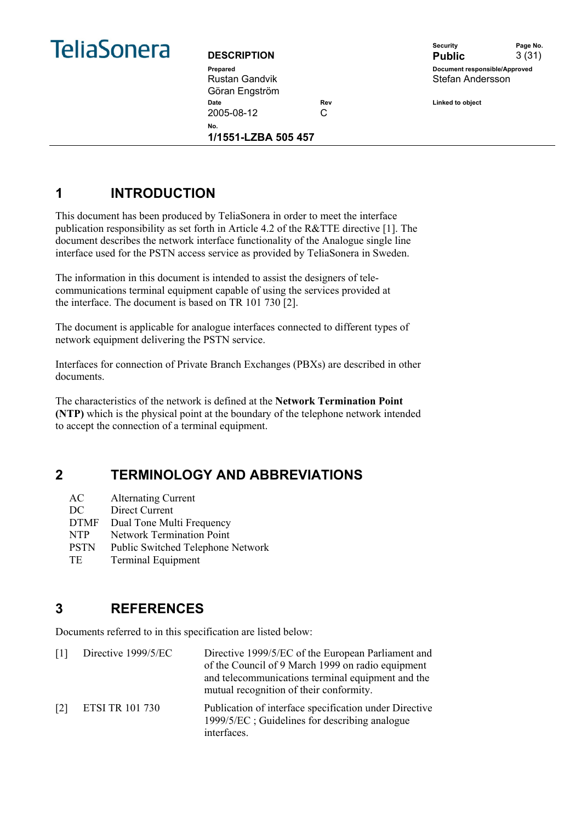

| <b>DESCRIPTION</b> |     |
|--------------------|-----|
| Prepared           |     |
| Rustan Gandvik     |     |
| Göran Engström     |     |
| Date               | Re١ |
| 2005-08-12         | C   |
|                    |     |

**1/1551-LZBA 505 457** 

Security **Page No. DESCRIPTION Public** 3 (31) **Pocument responsible/Approved** Stefan Andersson

**Date Rev Linked to object** 

## **1 INTRODUCTION**

This document has been produced by TeliaSonera in order to meet the interface publication responsibility as set forth in Article 4.2 of the R&TTE directive [1]. The document describes the network interface functionality of the Analogue single line interface used for the PSTN access service as provided by TeliaSonera in Sweden.

The information in this document is intended to assist the designers of telecommunications terminal equipment capable of using the services provided at the interface. The document is based on TR 101 730 [2].

The document is applicable for analogue interfaces connected to different types of network equipment delivering the PSTN service.

Interfaces for connection of Private Branch Exchanges (PBXs) are described in other documents.

The characteristics of the network is defined at the **Network Termination Point (NTP)** which is the physical point at the boundary of the telephone network intended to accept the connection of a terminal equipment.

## **2 TERMINOLOGY AND ABBREVIATIONS**

| AC          | <b>Alternating Current</b>               |
|-------------|------------------------------------------|
| DC          | Direct Current                           |
| <b>DTMF</b> | Dual Tone Multi Frequency                |
| <b>NTP</b>  | <b>Network Termination Point</b>         |
| <b>PSTN</b> | <b>Public Switched Telephone Network</b> |
| TE.         | <b>Terminal Equipment</b>                |

## **3 REFERENCES**

Documents referred to in this specification are listed below:

| $\lceil 1 \rceil$ | Directive 1999/5/EC    | Directive 1999/5/EC of the European Parliament and<br>of the Council of 9 March 1999 on radio equipment<br>and telecommunications terminal equipment and the<br>mutual recognition of their conformity. |
|-------------------|------------------------|---------------------------------------------------------------------------------------------------------------------------------------------------------------------------------------------------------|
| $\lceil 2 \rceil$ | <b>ETSI TR 101 730</b> | Publication of interface specification under Directive<br>1999/5/EC; Guidelines for describing analogue<br>interfaces.                                                                                  |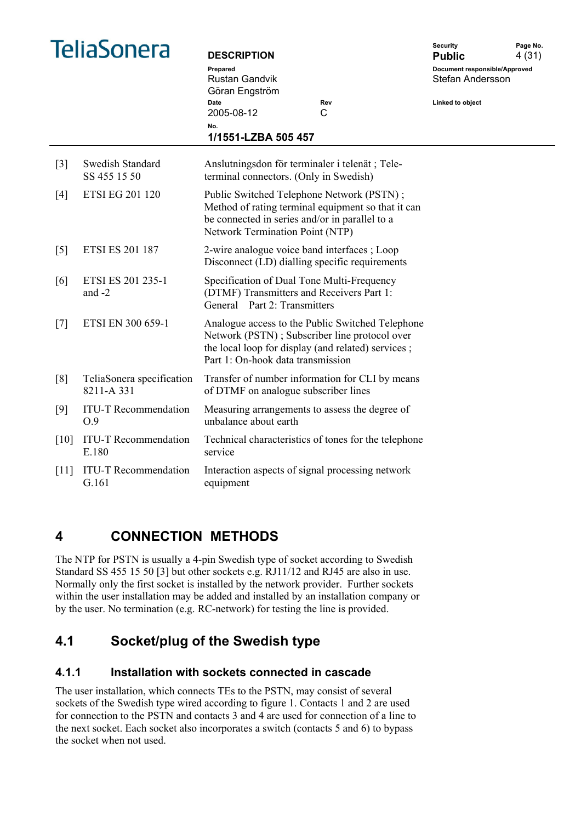|  | <b>TeliaSonera</b> |
|--|--------------------|
|  |                    |
|  |                    |

| TeliaSonera       |                                         | <b>DESCRIPTION</b>                                                        |                                                                                                                                                         | <b>Security</b><br><b>Public</b>                  | Page No.<br>4(31) |
|-------------------|-----------------------------------------|---------------------------------------------------------------------------|---------------------------------------------------------------------------------------------------------------------------------------------------------|---------------------------------------------------|-------------------|
|                   |                                         | Prepared<br>Rustan Gandvik<br>Göran Engström                              |                                                                                                                                                         | Document responsible/Approved<br>Stefan Andersson |                   |
|                   |                                         | Date<br>2005-08-12                                                        | Rev<br>C                                                                                                                                                | Linked to object                                  |                   |
|                   |                                         | No.<br>1/1551-LZBA 505 457                                                |                                                                                                                                                         |                                                   |                   |
| $\lceil 3 \rceil$ | Swedish Standard<br>SS 455 15 50        | terminal connectors. (Only in Swedish)                                    | Anslutningsdon för terminaler i telenät; Tele-                                                                                                          |                                                   |                   |
| [4]               | <b>ETSI EG 201 120</b>                  | Network Termination Point (NTP)                                           | Public Switched Telephone Network (PSTN);<br>Method of rating terminal equipment so that it can<br>be connected in series and/or in parallel to a       |                                                   |                   |
| $\lceil 5 \rceil$ | <b>ETSI ES 201 187</b>                  |                                                                           | 2-wire analogue voice band interfaces; Loop<br>Disconnect (LD) dialling specific requirements                                                           |                                                   |                   |
| [6]               | ETSI ES 201 235-1<br>and $-2$           | (DTMF) Transmitters and Receivers Part 1:<br>General Part 2: Transmitters | Specification of Dual Tone Multi-Frequency                                                                                                              |                                                   |                   |
| $[7]$             | ETSI EN 300 659-1                       | Part 1: On-hook data transmission                                         | Analogue access to the Public Switched Telephone<br>Network (PSTN); Subscriber line protocol over<br>the local loop for display (and related) services; |                                                   |                   |
| [8]               | TeliaSonera specification<br>8211-A 331 | of DTMF on analogue subscriber lines                                      | Transfer of number information for CLI by means                                                                                                         |                                                   |                   |
| [9]               | <b>ITU-T Recommendation</b><br>0.9      | unbalance about earth                                                     | Measuring arrangements to assess the degree of                                                                                                          |                                                   |                   |
| [10]              | <b>ITU-T Recommendation</b><br>E.180    | service                                                                   | Technical characteristics of tones for the telephone                                                                                                    |                                                   |                   |
| [11]              | <b>ITU-T Recommendation</b><br>G.161    | equipment                                                                 | Interaction aspects of signal processing network                                                                                                        |                                                   |                   |
|                   |                                         |                                                                           |                                                                                                                                                         |                                                   |                   |

## **4 CONNECTION METHODS**

The NTP for PSTN is usually a 4-pin Swedish type of socket according to Swedish Standard SS 455 15 50 [3] but other sockets e.g. RJ11/12 and RJ45 are also in use. Normally only the first socket is installed by the network provider. Further sockets within the user installation may be added and installed by an installation company or by the user. No termination (e.g. RC-network) for testing the line is provided.

## **4.1 Socket/plug of the Swedish type**

#### **4.1.1 Installation with sockets connected in cascade**

The user installation, which connects TEs to the PSTN, may consist of several sockets of the Swedish type wired according to figure 1. Contacts 1 and 2 are used for connection to the PSTN and contacts 3 and 4 are used for connection of a line to the next socket. Each socket also incorporates a switch (contacts 5 and 6) to bypass the socket when not used.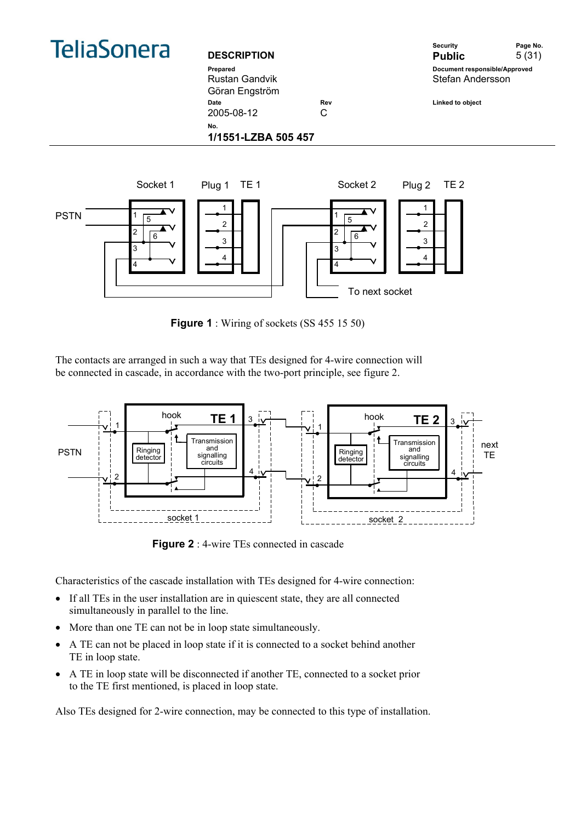

Rustan Gandvik Göran Engström

Security **Page No. DESCRIPTION Public** 5 (31) **Prepared Document responsible/Approved**  Stefan Andersson Date **Date Rev** Rev **Linked to object** 

2005-08-12 C

**No.** 

**1/1551-LZBA 505 457** 



**Figure 1** : Wiring of sockets (SS 455 15 50)

The contacts are arranged in such a way that TEs designed for 4-wire connection will be connected in cascade, in accordance with the two-port principle, see figure 2.



**Figure 2** : 4-wire TEs connected in cascade

Characteristics of the cascade installation with TEs designed for 4-wire connection:

- If all TEs in the user installation are in quiescent state, they are all connected simultaneously in parallel to the line.
- More than one TE can not be in loop state simultaneously.
- A TE can not be placed in loop state if it is connected to a socket behind another TE in loop state.
- A TE in loop state will be disconnected if another TE, connected to a socket prior to the TE first mentioned, is placed in loop state.

Also TEs designed for 2-wire connection, may be connected to this type of installation.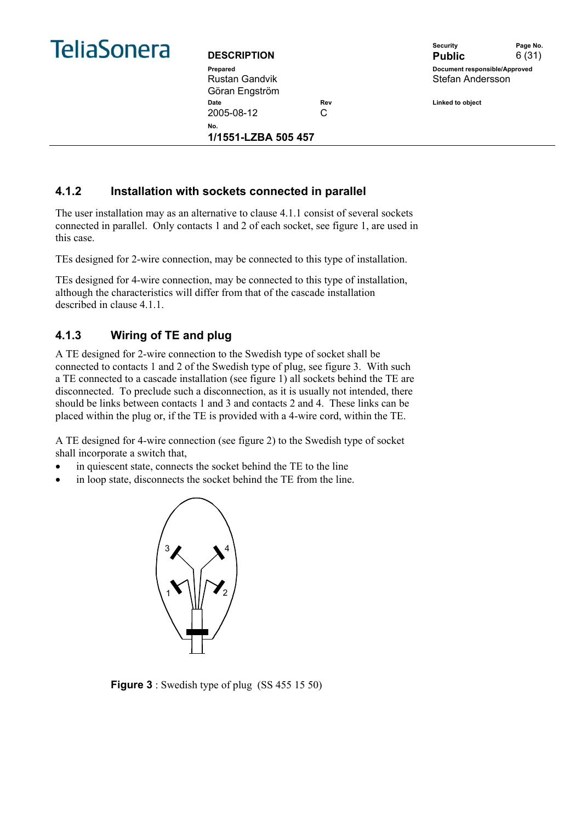

Rustan Gandvik Göran Engström Date **Date Rev** Rev **Linked to object** 2005-08-12 C **No.** 

**1/1551-LZBA 505 457** 

Security **Page No. DESCRIPTION Public** 6 (31) **Prepared Document responsible/Approved**  Stefan Andersson

#### **4.1.2 Installation with sockets connected in parallel**

The user installation may as an alternative to clause 4.1.1 consist of several sockets connected in parallel. Only contacts 1 and 2 of each socket, see figure 1, are used in this case.

TEs designed for 2-wire connection, may be connected to this type of installation.

TEs designed for 4-wire connection, may be connected to this type of installation, although the characteristics will differ from that of the cascade installation described in clause 4.1.1.

#### **4.1.3 Wiring of TE and plug**

A TE designed for 2-wire connection to the Swedish type of socket shall be connected to contacts 1 and 2 of the Swedish type of plug, see figure 3. With such a TE connected to a cascade installation (see figure 1) all sockets behind the TE are disconnected. To preclude such a disconnection, as it is usually not intended, there should be links between contacts 1 and 3 and contacts 2 and 4. These links can be placed within the plug or, if the TE is provided with a 4-wire cord, within the TE.

A TE designed for 4-wire connection (see figure 2) to the Swedish type of socket shall incorporate a switch that,

- in quiescent state, connects the socket behind the TE to the line
- in loop state, disconnects the socket behind the TE from the line.



**Figure 3** : Swedish type of plug (SS 455 15 50)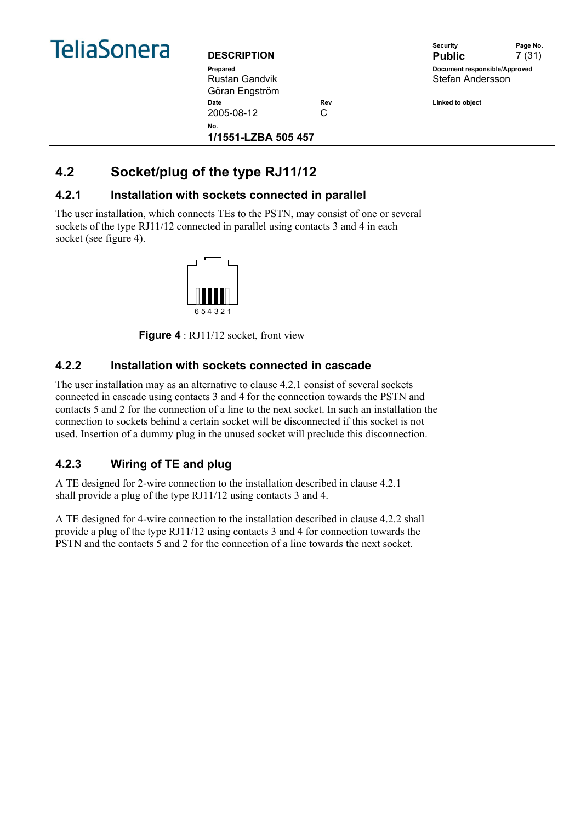

| <b>DESCRIPTION</b>  |     |
|---------------------|-----|
| Prepared            |     |
| Rustan Gandvik      |     |
| Göran Engström      |     |
| Date                | Rev |
| 2005-08-12          | C   |
| N٥.                 |     |
| 1/1551-LZBA 505 457 |     |



**Date Rev Linked to object** 

## **4.2 Socket/plug of the type RJ11/12**

#### **4.2.1 Installation with sockets connected in parallel**

The user installation, which connects TEs to the PSTN, may consist of one or several sockets of the type RJ11/12 connected in parallel using contacts 3 and 4 in each socket (see figure 4).



**Figure 4** : RJ11/12 socket, front view

#### **4.2.2 Installation with sockets connected in cascade**

The user installation may as an alternative to clause 4.2.1 consist of several sockets connected in cascade using contacts 3 and 4 for the connection towards the PSTN and contacts 5 and 2 for the connection of a line to the next socket. In such an installation the connection to sockets behind a certain socket will be disconnected if this socket is not used. Insertion of a dummy plug in the unused socket will preclude this disconnection.

#### **4.2.3 Wiring of TE and plug**

A TE designed for 2-wire connection to the installation described in clause 4.2.1 shall provide a plug of the type RJ11/12 using contacts 3 and 4.

A TE designed for 4-wire connection to the installation described in clause 4.2.2 shall provide a plug of the type RJ11/12 using contacts 3 and 4 for connection towards the PSTN and the contacts 5 and 2 for the connection of a line towards the next socket.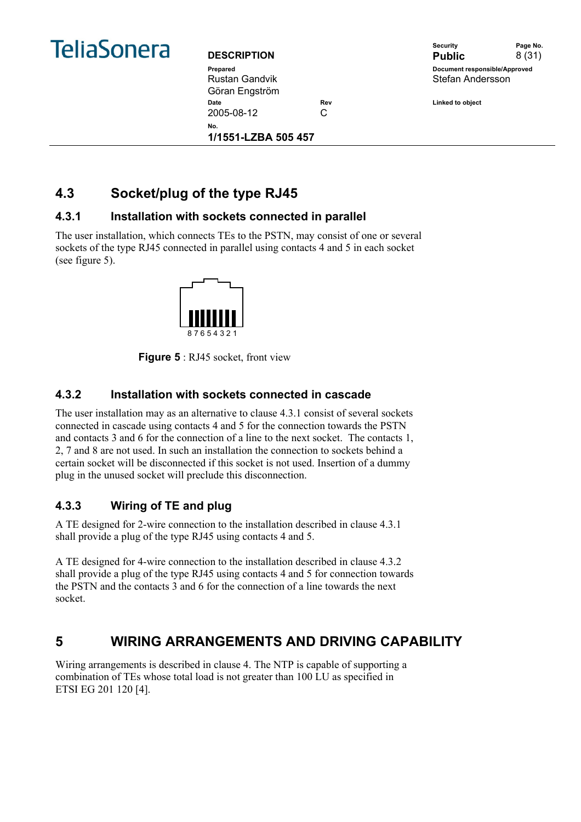

| <b>DESCRIPTION</b>         |     |
|----------------------------|-----|
| Prepared                   |     |
| Rustan Gandvik             |     |
| Göran Engström             |     |
| Date                       | Re۱ |
| 2005-08-12                 | C   |
| N٥.<br>1/1551-LZBA 505 457 |     |
|                            |     |

Security **Page No. DESCRIPTION Public** 8 (31) **Pocument responsible/Approved** Stefan Andersson

**Date Rev Linked to object** 

## **4.3 Socket/plug of the type RJ45**

#### **4.3.1 Installation with sockets connected in parallel**

The user installation, which connects TEs to the PSTN, may consist of one or several sockets of the type RJ45 connected in parallel using contacts 4 and 5 in each socket (see figure 5).



**Figure 5** : RJ45 socket, front view

#### **4.3.2 Installation with sockets connected in cascade**

The user installation may as an alternative to clause 4.3.1 consist of several sockets connected in cascade using contacts 4 and 5 for the connection towards the PSTN and contacts 3 and 6 for the connection of a line to the next socket. The contacts 1, 2, 7 and 8 are not used. In such an installation the connection to sockets behind a certain socket will be disconnected if this socket is not used. Insertion of a dummy plug in the unused socket will preclude this disconnection.

#### **4.3.3 Wiring of TE and plug**

A TE designed for 2-wire connection to the installation described in clause 4.3.1 shall provide a plug of the type RJ45 using contacts 4 and 5.

A TE designed for 4-wire connection to the installation described in clause 4.3.2 shall provide a plug of the type RJ45 using contacts 4 and 5 for connection towards the PSTN and the contacts 3 and 6 for the connection of a line towards the next socket.

## **5 WIRING ARRANGEMENTS AND DRIVING CAPABILITY**

Wiring arrangements is described in clause 4. The NTP is capable of supporting a combination of TEs whose total load is not greater than 100 LU as specified in ETSI EG 201 120 [4].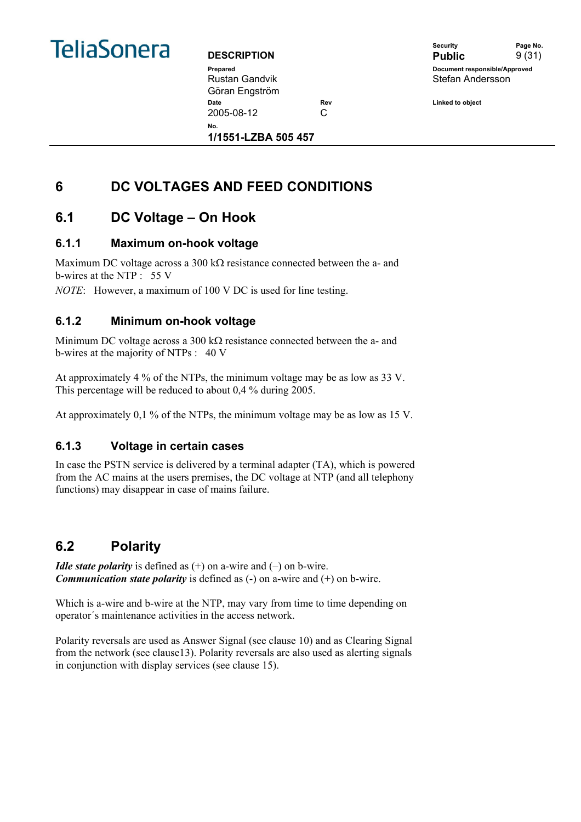

Rustan Gandvik Göran Engström Date **Rev Rev Linked to object Date** 2005-08-12 C

Security **Page No. DESCRIPTION** Public 9 (31) **Prepared Document responsible/Approved**  Stefan Andersson

**No.** 

**1/1551-LZBA 505 457** 

## **6 DC VOLTAGES AND FEED CONDITIONS**

## **6.1 DC Voltage – On Hook**

#### **6.1.1 Maximum on-hook voltage**

Maximum DC voltage across a 300 kΩ resistance connected between the a- and b-wires at the NTP : 55 V

*NOTE*: However, a maximum of 100 V DC is used for line testing.

#### **6.1.2 Minimum on-hook voltage**

Minimum DC voltage across a 300 kΩ resistance connected between the a- and b-wires at the majority of NTPs : 40 V

At approximately 4 % of the NTPs, the minimum voltage may be as low as 33 V. This percentage will be reduced to about 0,4 % during 2005.

At approximately 0,1 % of the NTPs, the minimum voltage may be as low as 15 V.

#### **6.1.3 Voltage in certain cases**

In case the PSTN service is delivered by a terminal adapter (TA), which is powered from the AC mains at the users premises, the DC voltage at NTP (and all telephony functions) may disappear in case of mains failure.

## **6.2 Polarity**

*Idle state polarity* is defined as  $(+)$  on a-wire and  $(-)$  on b-wire. *Communication state polarity* is defined as (-) on a-wire and (+) on b-wire.

Which is a-wire and b-wire at the NTP, may vary from time to time depending on operator´s maintenance activities in the access network.

Polarity reversals are used as Answer Signal (see clause 10) and as Clearing Signal from the network (see clause13). Polarity reversals are also used as alerting signals in conjunction with display services (see clause 15).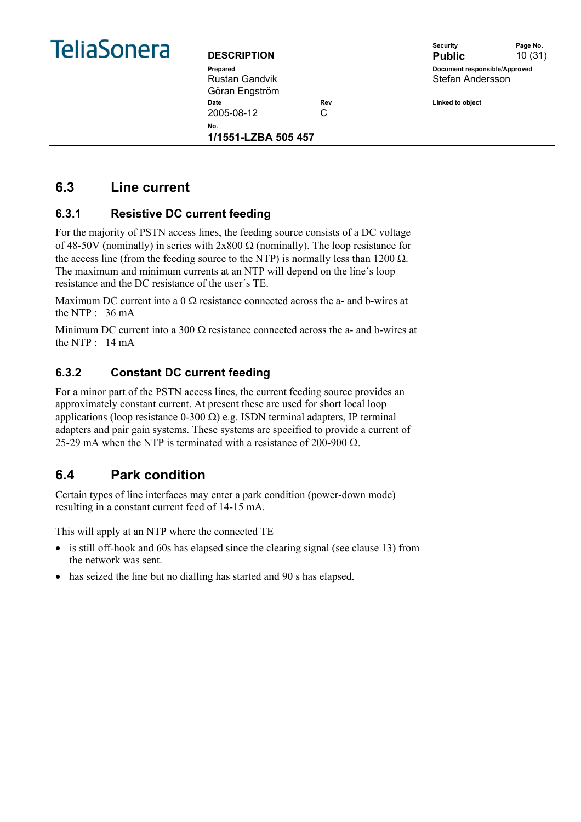

Rustan Gandvik Göran Engström Date **Rev Rev Linked to object Date** 2005-08-12 C **No.** 

**1/1551-LZBA 505 457** 

Security **Page No. DESCRIPTION** Public 10 (31) **Prepared Document responsible/Approved**  Stefan Andersson

## **6.3 Line current**

#### **6.3.1 Resistive DC current feeding**

For the majority of PSTN access lines, the feeding source consists of a DC voltage of 48-50V (nominally) in series with  $2x800 \Omega$  (nominally). The loop resistance for the access line (from the feeding source to the NTP) is normally less than 1200  $\Omega$ . The maximum and minimum currents at an NTP will depend on the line´s loop resistance and the DC resistance of the user´s TE.

Maximum DC current into a 0  $\Omega$  resistance connected across the a- and b-wires at the NTP  $\cdot$  36 mA

Minimum DC current into a 300  $\Omega$  resistance connected across the a- and b-wires at the NTP : 14 mA

#### **6.3.2 Constant DC current feeding**

For a minor part of the PSTN access lines, the current feeding source provides an approximately constant current. At present these are used for short local loop applications (loop resistance 0-300 Ω) e.g. ISDN terminal adapters, IP terminal adapters and pair gain systems. These systems are specified to provide a current of 25-29 mA when the NTP is terminated with a resistance of 200-900  $\Omega$ .

## **6.4 Park condition**

Certain types of line interfaces may enter a park condition (power-down mode) resulting in a constant current feed of 14-15 mA.

This will apply at an NTP where the connected TE

- is still off-hook and 60s has elapsed since the clearing signal (see clause 13) from the network was sent.
- has seized the line but no dialling has started and 90 s has elapsed.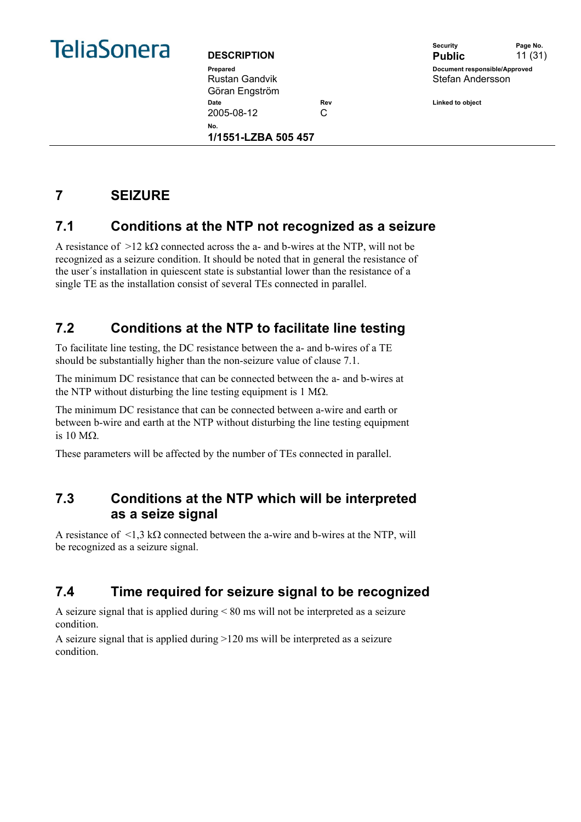

Rustan Gandvik Göran Engström Date **Date Rev** Rev **Linked to object** 2005-08-12 C

**1/1551-LZBA 505 457** 

**No.** 

Security **Page No. DESCRIPTION** Public 11 (31) **Prepared Document responsible/Approved**  Stefan Andersson

## **7 SEIZURE**

## **7.1 Conditions at the NTP not recognized as a seizure**

A resistance of  $>12$  k $\Omega$  connected across the a- and b-wires at the NTP, will not be recognized as a seizure condition. It should be noted that in general the resistance of the user´s installation in quiescent state is substantial lower than the resistance of a single TE as the installation consist of several TEs connected in parallel.

## **7.2 Conditions at the NTP to facilitate line testing**

To facilitate line testing, the DC resistance between the a- and b-wires of a TE should be substantially higher than the non-seizure value of clause 7.1.

The minimum DC resistance that can be connected between the a- and b-wires at the NTP without disturbing the line testing equipment is 1 M $\Omega$ .

The minimum DC resistance that can be connected between a-wire and earth or between b-wire and earth at the NTP without disturbing the line testing equipment is 10 MΩ.

These parameters will be affected by the number of TEs connected in parallel.

## **7.3 Conditions at the NTP which will be interpreted as a seize signal**

A resistance of  $\leq 1.3$  kΩ connected between the a-wire and b-wires at the NTP, will be recognized as a seizure signal.

## **7.4 Time required for seizure signal to be recognized**

A seizure signal that is applied during < 80 ms will not be interpreted as a seizure condition.

A seizure signal that is applied during >120 ms will be interpreted as a seizure condition.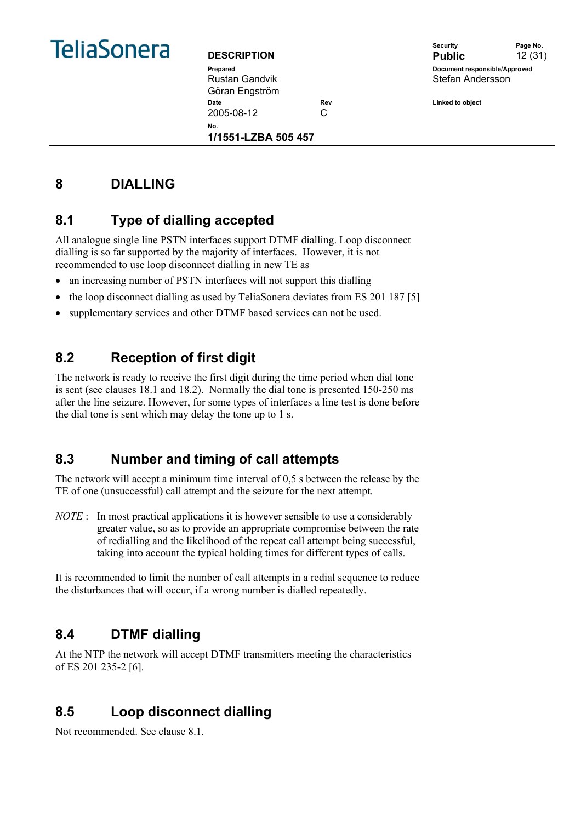

Rustan Gandvik Göran Engström **Date Date Rev Rev Rev Linked to object** 2005-08-12 C

**1/1551-LZBA 505 457** 

|                    | <b>Security</b>               | Page No. |
|--------------------|-------------------------------|----------|
| <b>DESCRIPTION</b> | <b>Public</b>                 | 12(31)   |
| Prepared           | Document responsible/Approved |          |
| Rustan Gandvik     | Stefan Andersson              |          |
|                    |                               |          |

**8 DIALLING** 

## **8.1 Type of dialling accepted**

All analogue single line PSTN interfaces support DTMF dialling. Loop disconnect dialling is so far supported by the majority of interfaces. However, it is not recommended to use loop disconnect dialling in new TE as

• an increasing number of PSTN interfaces will not support this dialling

**No.** 

- the loop disconnect dialling as used by TeliaSonera deviates from ES 201 187 [5]
- supplementary services and other DTMF based services can not be used.

## **8.2 Reception of first digit**

The network is ready to receive the first digit during the time period when dial tone is sent (see clauses 18.1 and 18.2). Normally the dial tone is presented 150-250 ms after the line seizure. However, for some types of interfaces a line test is done before the dial tone is sent which may delay the tone up to 1 s.

## **8.3 Number and timing of call attempts**

The network will accept a minimum time interval of 0,5 s between the release by the TE of one (unsuccessful) call attempt and the seizure for the next attempt.

*NOTE* : In most practical applications it is however sensible to use a considerably greater value, so as to provide an appropriate compromise between the rate of redialling and the likelihood of the repeat call attempt being successful, taking into account the typical holding times for different types of calls.

It is recommended to limit the number of call attempts in a redial sequence to reduce the disturbances that will occur, if a wrong number is dialled repeatedly.

## **8.4 DTMF dialling**

At the NTP the network will accept DTMF transmitters meeting the characteristics of ES 201 235-2 [6].

## **8.5 Loop disconnect dialling**

Not recommended. See clause 8.1.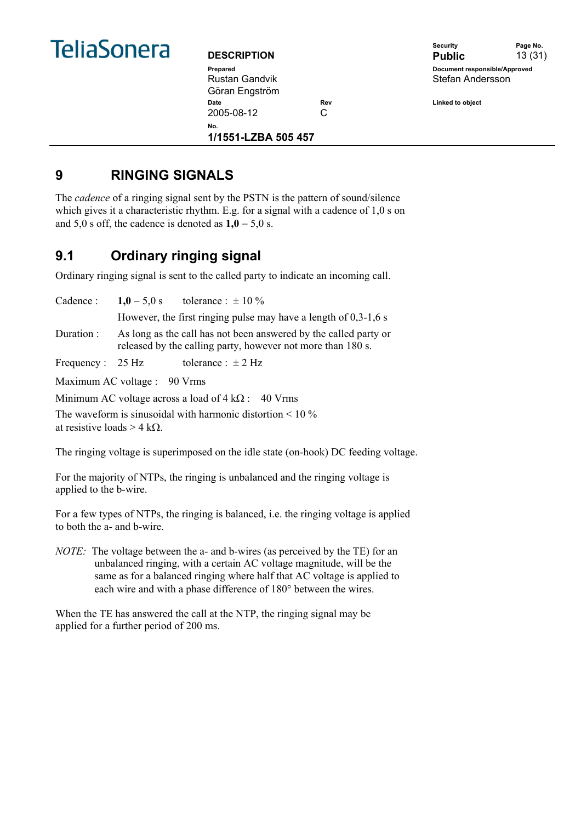

| <b>DESCRIPTION</b> |                     |     |
|--------------------|---------------------|-----|
| Prepared           |                     |     |
| Rustan Gandvik     |                     |     |
| Göran Engström     |                     |     |
| Date               |                     | Re١ |
| 2005-08-12         |                     | C   |
| Nο.                | 1/1551-LZBA 505 457 |     |
|                    |                     |     |

|                    | Security                      | Page No. |
|--------------------|-------------------------------|----------|
| <b>DESCRIPTION</b> | <b>Public</b>                 | 13(31)   |
| Prepared           | Document responsible/Approved |          |
| Rustan Gandvik     | Stefan Andersson              |          |
| Cörən Engetröm     |                               |          |

**Date Rev Linked to object** 

## **9 RINGING SIGNALS**

The *cadence* of a ringing signal sent by the PSTN is the pattern of sound/silence which gives it a characteristic rhythm. E.g. for a signal with a cadence of 1,0 s on and  $5,0$  s off, the cadence is denoted as  $1,0 - 5,0$  s.

## **9.1 Ordinary ringing signal**

Ordinary ringing signal is sent to the called party to indicate an incoming call.

|                                                           |                              | Cadence: $1,0-5,0$ s tolerance: $\pm 10\%$                                                                                      |
|-----------------------------------------------------------|------------------------------|---------------------------------------------------------------------------------------------------------------------------------|
|                                                           |                              | However, the first ringing pulse may have a length of $0,3-1,6$ s                                                               |
| Duration :                                                |                              | As long as the call has not been answered by the called party or<br>released by the calling party, however not more than 180 s. |
| Frequency : $25 \text{ Hz}$                               |                              | tolerance : $\pm$ 2 Hz                                                                                                          |
|                                                           | Maximum AC voltage : 90 Vrms |                                                                                                                                 |
| Minimum AC voltage across a load of $4 k\Omega$ : 40 Vrms |                              |                                                                                                                                 |

The waveform is sinusoidal with harmonic distortion  $\leq 10\%$ at resistive loads  $> 4$  kΩ.

The ringing voltage is superimposed on the idle state (on-hook) DC feeding voltage.

For the majority of NTPs, the ringing is unbalanced and the ringing voltage is applied to the b-wire.

For a few types of NTPs, the ringing is balanced, i.e. the ringing voltage is applied to both the a- and b-wire.

*NOTE:* The voltage between the a- and b-wires (as perceived by the TE) for an unbalanced ringing, with a certain AC voltage magnitude, will be the same as for a balanced ringing where half that AC voltage is applied to each wire and with a phase difference of 180° between the wires.

When the TE has answered the call at the NTP, the ringing signal may be applied for a further period of 200 ms.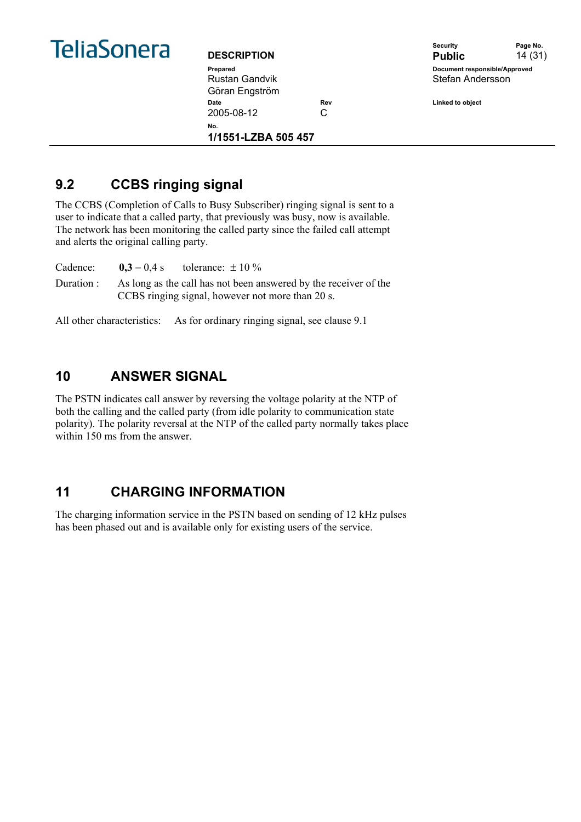

Rustan Gandvik Göran Engström Date **Date Rev** Rev **Linked to object** 2005-08-12 C **No.** 

**1/1551-LZBA 505 457** 



## **9.2 CCBS ringing signal**

The CCBS (Completion of Calls to Busy Subscriber) ringing signal is sent to a user to indicate that a called party, that previously was busy, now is available. The network has been monitoring the called party since the failed call attempt and alerts the original calling party.

Cadence:  $0,3 - 0,4 s$  tolerance:  $\pm 10 \%$ Duration : As long as the call has not been answered by the receiver of the CCBS ringing signal, however not more than 20 s.

All other characteristics: As for ordinary ringing signal, see clause 9.1

## **10 ANSWER SIGNAL**

The PSTN indicates call answer by reversing the voltage polarity at the NTP of both the calling and the called party (from idle polarity to communication state polarity). The polarity reversal at the NTP of the called party normally takes place within 150 ms from the answer.

## **11 CHARGING INFORMATION**

The charging information service in the PSTN based on sending of 12 kHz pulses has been phased out and is available only for existing users of the service.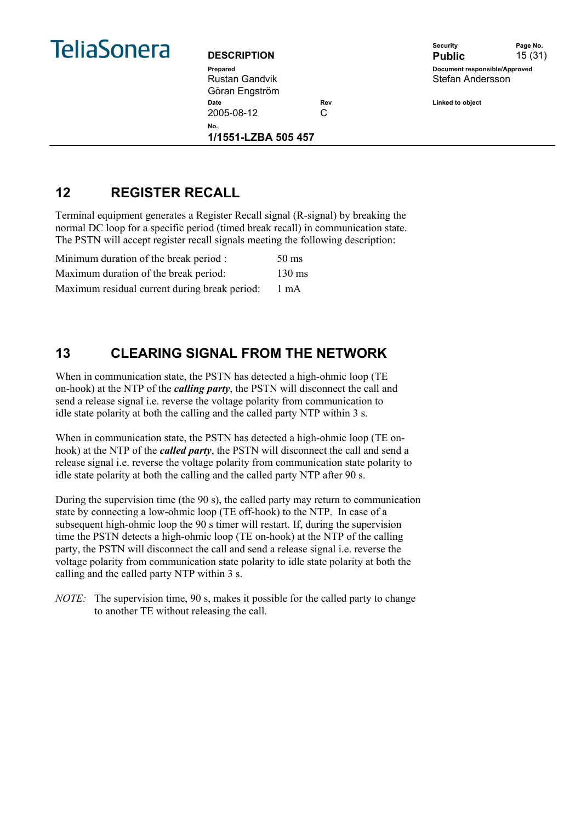

Rustan Gandvik Göran Engström Date **Date Rev** Rev **Linked to object** 2005-08-12 C **No.** 

**1/1551-LZBA 505 457** 



## **12 REGISTER RECALL**

Terminal equipment generates a Register Recall signal (R-signal) by breaking the normal DC loop for a specific period (timed break recall) in communication state. The PSTN will accept register recall signals meeting the following description:

| Minimum duration of the break period :        | $50 \text{ ms}$  |
|-----------------------------------------------|------------------|
| Maximum duration of the break period:         | $130 \text{ ms}$ |
| Maximum residual current during break period: | 1 mA             |

## **13 CLEARING SIGNAL FROM THE NETWORK**

When in communication state, the PSTN has detected a high-ohmic loop (TE on-hook) at the NTP of the *calling party*, the PSTN will disconnect the call and send a release signal i.e. reverse the voltage polarity from communication to idle state polarity at both the calling and the called party NTP within 3 s.

When in communication state, the PSTN has detected a high-ohmic loop (TE onhook) at the NTP of the *called party*, the PSTN will disconnect the call and send a release signal i.e. reverse the voltage polarity from communication state polarity to idle state polarity at both the calling and the called party NTP after 90 s.

During the supervision time (the 90 s), the called party may return to communication state by connecting a low-ohmic loop (TE off-hook) to the NTP. In case of a subsequent high-ohmic loop the 90 s timer will restart. If, during the supervision time the PSTN detects a high-ohmic loop (TE on-hook) at the NTP of the calling party, the PSTN will disconnect the call and send a release signal i.e. reverse the voltage polarity from communication state polarity to idle state polarity at both the calling and the called party NTP within 3 s.

*NOTE:* The supervision time, 90 s, makes it possible for the called party to change to another TE without releasing the call.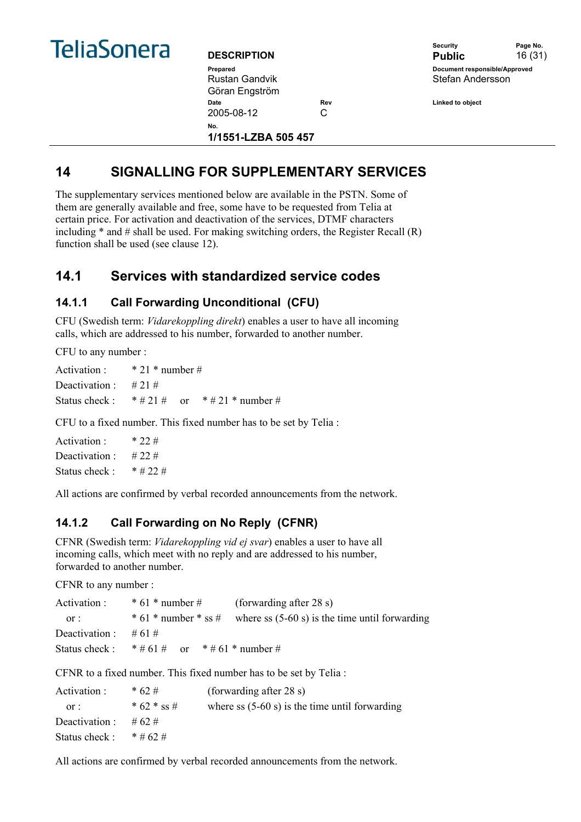

| <b>DESCRIPTION</b>         |     |
|----------------------------|-----|
| Prepared                   |     |
| Rustan Gandvik             |     |
| Göran Engström             |     |
| Date                       | Rev |
| 2005-08-12                 | C   |
| N٥.<br>1/1551-LZBA 505 457 |     |

|                    | Security                      | Page No. |
|--------------------|-------------------------------|----------|
| <b>DESCRIPTION</b> | <b>Public</b>                 | 16(31)   |
| Prepared           | Document responsible/Approved |          |
| Rustan Gandvik     | Stefan Andersson              |          |

**Date Rev Linked to object** 

## **14 SIGNALLING FOR SUPPLEMENTARY SERVICES**

The supplementary services mentioned below are available in the PSTN. Some of them are generally available and free, some have to be requested from Telia at certain price. For activation and deactivation of the services, DTMF characters including  $*$  and  $\#$  shall be used. For making switching orders, the Register Recall  $(R)$ function shall be used (see clause 12).

## **14.1 Services with standardized service codes**

#### **14.1.1 Call Forwarding Unconditional (CFU)**

CFU (Swedish term: *Vidarekoppling direkt*) enables a user to have all incoming calls, which are addressed to his number, forwarded to another number.

CFU to any number :

Activation  $\cdot$  \* 21 \* number # Deactivation  $\cdot$  # 21 # Status check :  $* # 21 #$  or  $* # 21 *$  number #

CFU to a fixed number. This fixed number has to be set by Telia :

Activation : \* 22 # Deactivation  $\cdot$  # 22 # Status check :  $* # 22 #$ 

All actions are confirmed by verbal recorded announcements from the network.

#### **14.1.2 Call Forwarding on No Reply (CFNR)**

CFNR (Swedish term: *Vidarekoppling vid ej svar*) enables a user to have all incoming calls, which meet with no reply and are addressed to his number, forwarded to another number.

CFNR to any number :

| Activation :            | $* 61 * number #$                                   | (forwarding after 28 s)                                               |
|-------------------------|-----------------------------------------------------|-----------------------------------------------------------------------|
| or:                     |                                                     | $* 61 * number * ss # where ss (5-60 s) is the time until forwarding$ |
| Deactivation : $\#61\#$ |                                                     |                                                                       |
|                         | Status check : $* \# 61 \#$ or $* \# 61 *$ number # |                                                                       |

CFNR to a fixed number. This fixed number has to be set by Telia :

| Activation :   | $* 62#$     | (forwarding after 28 s)                          |
|----------------|-------------|--------------------------------------------------|
| or:            | * 62 * ss # | where ss $(5-60 s)$ is the time until forwarding |
| Deactivation : | #62#        |                                                  |
| Status check:  | $*$ # 62 #  |                                                  |

All actions are confirmed by verbal recorded announcements from the network.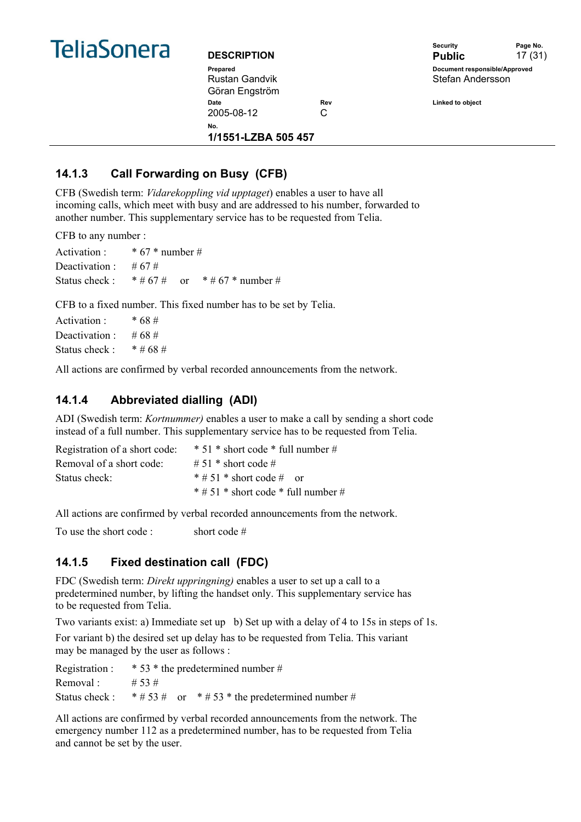

| <b>DESCRIPTION</b>  |     |
|---------------------|-----|
| Prepared            |     |
| Rustan Gandvik      |     |
| Göran Engström      |     |
| Date                | Re١ |
| 2005-08-12          | C   |
| N٥.                 |     |
| 1/1551-LZBA 505 457 |     |



**Date Rev Linked to object** 

### **14.1.3 Call Forwarding on Busy (CFB)**

CFB (Swedish term: *Vidarekoppling vid upptaget*) enables a user to have all incoming calls, which meet with busy and are addressed to his number, forwarded to another number. This supplementary service has to be requested from Telia.

CFB to any number :

| Activation :                | * $67$ * number # |            |                   |
|-----------------------------|-------------------|------------|-------------------|
| Deactivation : #67#         |                   |            |                   |
| Status check : $* \# 67 \#$ |                   | $\alpha$ r | * # 67 * number # |

CFB to a fixed number. This fixed number has to be set by Telia.

| Activation:   | * 68 #     |
|---------------|------------|
| Deactivation: | #68#       |
| Status check: | $*$ # 68 # |

All actions are confirmed by verbal recorded announcements from the network.

#### **14.1.4 Abbreviated dialling (ADI)**

ADI (Swedish term: *Kortnummer)* enables a user to make a call by sending a short code instead of a full number. This supplementary service has to be requested from Telia.

| Registration of a short code: | $* 51 * short code * full number #$       |
|-------------------------------|-------------------------------------------|
| Removal of a short code:      | # 51 $*$ short code #                     |
| Status check:                 | $*$ # 51 $*$ short code # or              |
|                               | $*$ # 51 $*$ short code $*$ full number # |

All actions are confirmed by verbal recorded announcements from the network.

To use the short code : short code #

#### **14.1.5 Fixed destination call (FDC)**

FDC (Swedish term: *Direkt uppringning)* enables a user to set up a call to a predetermined number, by lifting the handset only. This supplementary service has to be requested from Telia.

Two variants exist: a) Immediate set up b) Set up with a delay of 4 to 15s in steps of 1s.

For variant b) the desired set up delay has to be requested from Telia. This variant may be managed by the user as follows :

| Registration : | $*$ 53 $*$ the predetermined number # |  |                                                       |
|----------------|---------------------------------------|--|-------------------------------------------------------|
| Removal:       | # 53 #                                |  |                                                       |
| Status check : |                                       |  | $*$ # 53 # or $*$ # 53 $*$ the predetermined number # |

All actions are confirmed by verbal recorded announcements from the network. The emergency number 112 as a predetermined number, has to be requested from Telia and cannot be set by the user.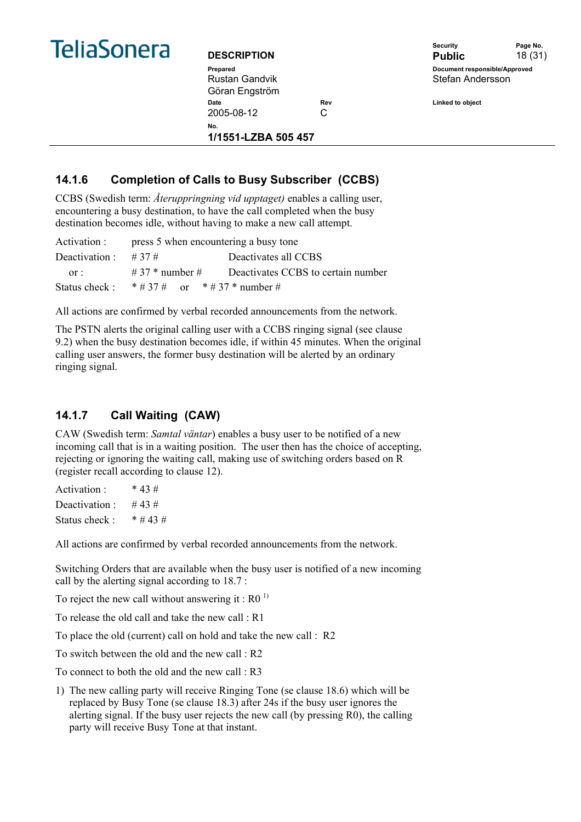

Rustan Gandvik Göran Engström Date **Date Rev** Rev **Linked to object** 2005-08-12 C **No.** 

**1/1551-LZBA 505 457** 

Security **Page No. DESCRIPTION** Public 18 (31) **Prepared Document responsible/Approved**  Stefan Andersson

## **14.1.6 Completion of Calls to Busy Subscriber (CCBS)**

CCBS (Swedish term: *Återuppringning vid upptaget)* enables a calling user, encountering a busy destination, to have the call completed when the busy destination becomes idle, without having to make a new call attempt.

|                | Activation : press 5 when encountering a busy tone |                                                            |  |
|----------------|----------------------------------------------------|------------------------------------------------------------|--|
| Deactivation : | # 37 #                                             | Deactivates all CCBS                                       |  |
| $or$ .         |                                                    | $\#$ 37 $*$ number $\#$ Deactivates CCBS to certain number |  |
|                | Status check: $* \# 37 \#$ or $* \# 37 *$ number # |                                                            |  |

All actions are confirmed by verbal recorded announcements from the network.

The PSTN alerts the original calling user with a CCBS ringing signal (see clause 9.2) when the busy destination becomes idle, if within 45 minutes. When the original calling user answers, the former busy destination will be alerted by an ordinary ringing signal.

### **14.1.7 Call Waiting (CAW)**

CAW (Swedish term: *Samtal väntar*) enables a busy user to be notified of a new incoming call that is in a waiting position. The user then has the choice of accepting, rejecting or ignoring the waiting call, making use of switching orders based on R (register recall according to clause 12).

Activation  $\cdot$  \* 43 # Deactivation  $\cdot$  #43# Status check :  $* # 43 #$ 

All actions are confirmed by verbal recorded announcements from the network.

Switching Orders that are available when the busy user is notified of a new incoming call by the alerting signal according to 18.7 :

To reject the new call without answering it :  $R0<sup>1</sup>$ 

To release the old call and take the new call  $\cdot$  R1

To place the old (current) call on hold and take the new call : R2

To switch between the old and the new call : R2

To connect to both the old and the new call : R3

1) The new calling party will receive Ringing Tone (se clause 18.6) which will be replaced by Busy Tone (se clause 18.3) after 24s if the busy user ignores the alerting signal. If the busy user rejects the new call (by pressing R0), the calling party will receive Busy Tone at that instant.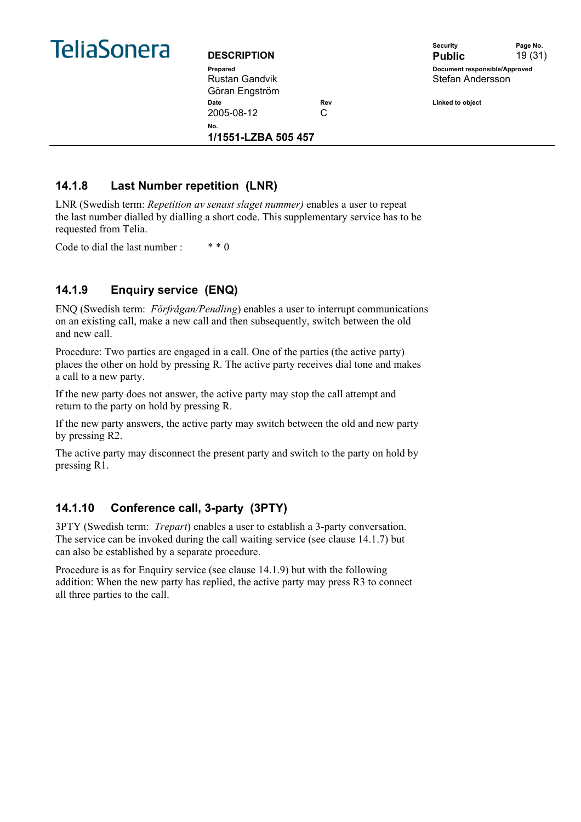

| <b>DESCRIPTION</b>  |     |
|---------------------|-----|
| Prepared            |     |
| Rustan Gandvik      |     |
| Göran Engström      |     |
| Date                | Re١ |
| 2005-08-12          | C   |
| No.                 |     |
| 1/1551-LZBA 505 457 |     |



**Date Rev Linked to object** 

#### **14.1.8 Last Number repetition (LNR)**

LNR (Swedish term: *Repetition av senast slaget nummer)* enables a user to repeat the last number dialled by dialling a short code. This supplementary service has to be requested from Telia.

Code to dial the last number :  $***0$ 

#### **14.1.9 Enquiry service (ENQ)**

ENQ (Swedish term: *Förfrågan/Pendling*) enables a user to interrupt communications on an existing call, make a new call and then subsequently, switch between the old and new call.

Procedure: Two parties are engaged in a call. One of the parties (the active party) places the other on hold by pressing R. The active party receives dial tone and makes a call to a new party.

If the new party does not answer, the active party may stop the call attempt and return to the party on hold by pressing R.

If the new party answers, the active party may switch between the old and new party by pressing R2.

The active party may disconnect the present party and switch to the party on hold by pressing R1.

#### **14.1.10 Conference call, 3-party (3PTY)**

3PTY (Swedish term: *Trepart*) enables a user to establish a 3-party conversation. The service can be invoked during the call waiting service (see clause 14.1.7) but can also be established by a separate procedure.

Procedure is as for Enquiry service (see clause 14.1.9) but with the following addition: When the new party has replied, the active party may press R3 to connect all three parties to the call.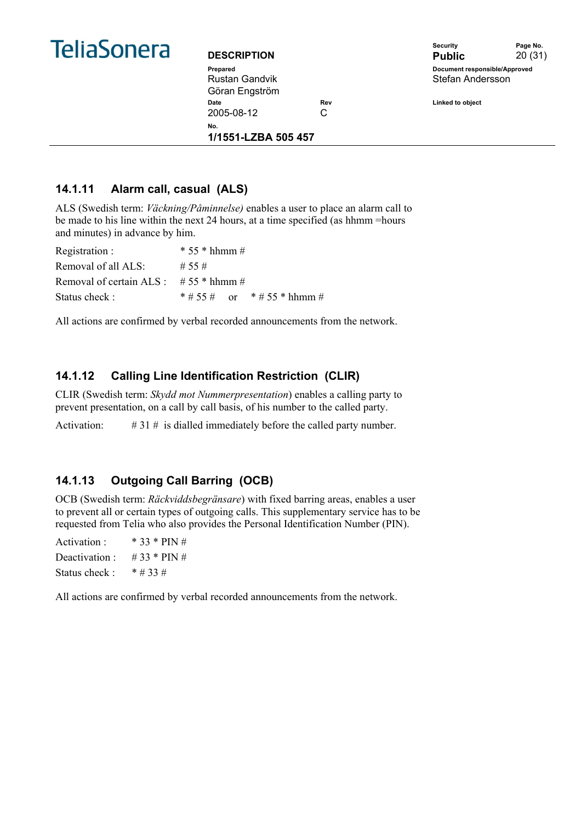

| <b>DESCRIPTION</b>  |     |
|---------------------|-----|
| Prepared            |     |
| Rustan Gandvik      |     |
| Göran Engström      |     |
| Date                | Re۱ |
| 2005-08-12          | C   |
| No.                 |     |
| 1/1551-LZBA 505 457 |     |



**14.1.11 Alarm call, casual (ALS)** 

ALS (Swedish term: *Väckning/Påminnelse)* enables a user to place an alarm call to be made to his line within the next 24 hours, at a time specified (as hhmm =hours and minutes) in advance by him.

| Registration :                                     | $* 55 * hhm m #$            |
|----------------------------------------------------|-----------------------------|
| Removal of all ALS:                                | $\#$ 55 $\#$                |
| Removal of certain ALS : $\# 55 * h \text{hmm} \#$ |                             |
| Status check:                                      | * # 55 # or * # 55 * hhmm # |

All actions are confirmed by verbal recorded announcements from the network.

#### **14.1.12 Calling Line Identification Restriction (CLIR)**

CLIR (Swedish term: *Skydd mot Nummerpresentation*) enables a calling party to prevent presentation, on a call by call basis, of his number to the called party.

Activation: # 31 # is dialled immediately before the called party number.

#### **14.1.13 Outgoing Call Barring (OCB)**

OCB (Swedish term: *Räckviddsbegränsare*) with fixed barring areas, enables a user to prevent all or certain types of outgoing calls. This supplementary service has to be requested from Telia who also provides the Personal Identification Number (PIN).

Activation : \* 33 \* PIN # Deactivation : #  $33 * PIN #$ Status check  $\cdot$  \* # 33 #

All actions are confirmed by verbal recorded announcements from the network.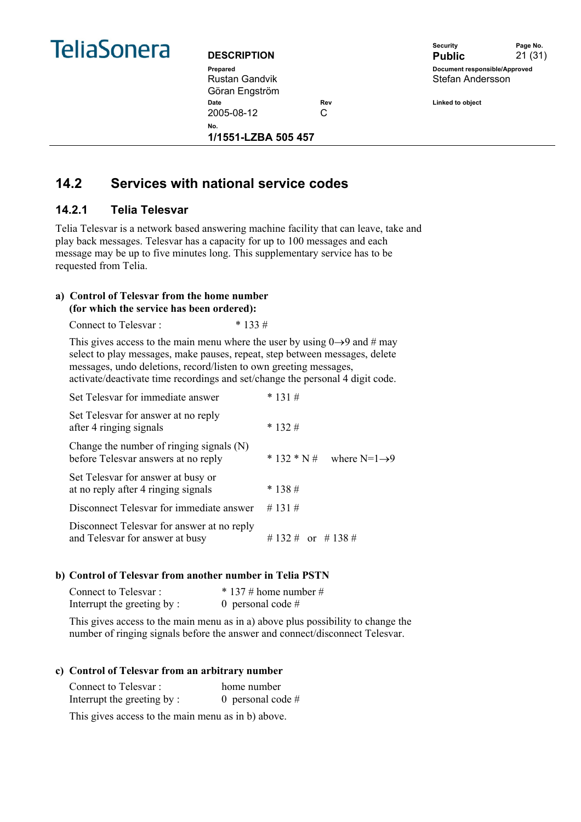

Rustan Gandvik Göran Engström



Date **Date** Rev Rev **Linked to object** 

2005-08-12 C **No.** 

**1/1551-LZBA 505 457** 

## **14.2 Services with national service codes**

#### **14.2.1 Telia Telesvar**

Telia Telesvar is a network based answering machine facility that can leave, take and play back messages. Telesvar has a capacity for up to 100 messages and each message may be up to five minutes long. This supplementary service has to be requested from Telia.

#### **a) Control of Telesvar from the home number (for which the service has been ordered):**

Connect to Telesvar : \* 133 #

This gives access to the main menu where the user by using  $0\rightarrow 9$  and # may select to play messages, make pauses, repeat, step between messages, delete messages, undo deletions, record/listen to own greeting messages, activate/deactivate time recordings and set/change the personal 4 digit code.

| Set Telesvar for immediate answer                                               | $* 131 \#$                               |
|---------------------------------------------------------------------------------|------------------------------------------|
| Set Telesvar for answer at no reply<br>after 4 ringing signals                  | $* 132#$                                 |
| Change the number of ringing signals (N)<br>before Telesvar answers at no reply | $* 132 * N#$<br>where $N=1\rightarrow 9$ |
| Set Telesvar for answer at busy or<br>at no reply after 4 ringing signals       | $* 138#$                                 |
| Disconnect Telesvar for immediate answer                                        | $\#$ 131 $\#$                            |
| Disconnect Telesvar for answer at no reply<br>and Telesvar for answer at busy   | # 132 # or # 138 #                       |

#### **b) Control of Telesvar from another number in Telia PSTN**

| Connect to Telesvar:       | $*$ 137 # home number # |
|----------------------------|-------------------------|
| Interrupt the greeting by: | 0 personal code $#$     |

This gives access to the main menu as in a) above plus possibility to change the number of ringing signals before the answer and connect/disconnect Telesvar.

#### **c) Control of Telesvar from an arbitrary number**

| Connect to Telesvar:       | home number         |
|----------------------------|---------------------|
| Interrupt the greeting by: | 0 personal code $#$ |

This gives access to the main menu as in b) above.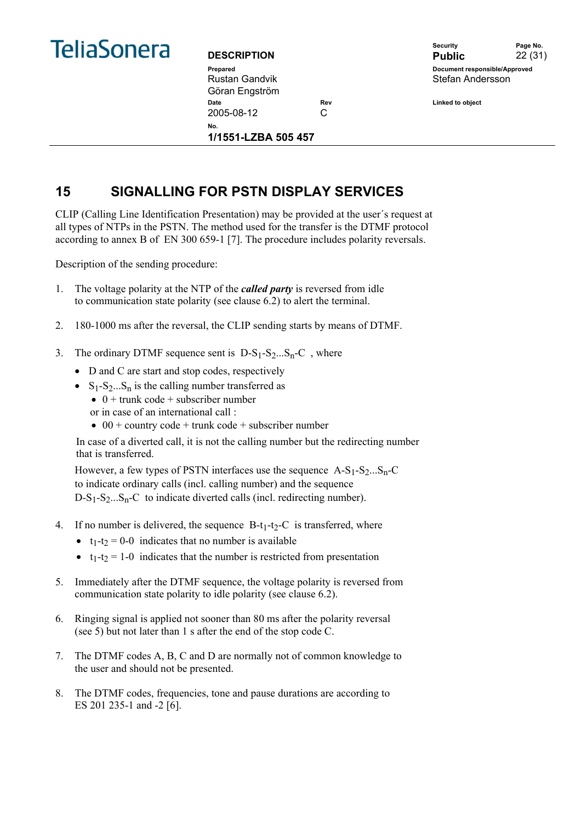

Rustan Gandvik Göran Engström Date **Date Rev** Rev **Linked to object** 2005-08-12 C **No.** 

**1/1551-LZBA 505 457** 

Security **Page No. DESCRIPTION** Public 22 (31) **Prepared Document responsible/Approved**  Stefan Andersson

## **15 SIGNALLING FOR PSTN DISPLAY SERVICES**

CLIP (Calling Line Identification Presentation) may be provided at the user´s request at all types of NTPs in the PSTN. The method used for the transfer is the DTMF protocol according to annex B of EN 300 659-1 [7]. The procedure includes polarity reversals.

Description of the sending procedure:

- 1. The voltage polarity at the NTP of the *called party* is reversed from idle to communication state polarity (see clause 6.2) to alert the terminal.
- 2. 180-1000 ms after the reversal, the CLIP sending starts by means of DTMF.
- 3. The ordinary DTMF sequence sent is  $D-S_1-S_2...S_n-C$ , where
	- D and C are start and stop codes, respectively
	- $S_1-S_2...S_n$  is the calling number transferred as
		- $\bullet$  0 + trunk code + subscriber number
		- or in case of an international call :
		- 00 + country code + trunk code + subscriber number

In case of a diverted call, it is not the calling number but the redirecting number that is transferred.

However, a few types of PSTN interfaces use the sequence  $A-S_1-S_2...S_n-C$ to indicate ordinary calls (incl. calling number) and the sequence D-S<sub>1</sub>-S<sub>2</sub>...S<sub>n</sub>-C to indicate diverted calls (incl. redirecting number).

- 4. If no number is delivered, the sequence  $B-t_1-t_2-C$  is transferred, where
	- $t_1-t_2 = 0$ -0 indicates that no number is available
	- $t_1-t_2 = 1-0$  indicates that the number is restricted from presentation
- 5. Immediately after the DTMF sequence, the voltage polarity is reversed from communication state polarity to idle polarity (see clause 6.2).
- 6. Ringing signal is applied not sooner than 80 ms after the polarity reversal (see 5) but not later than 1 s after the end of the stop code C.
- 7. The DTMF codes A, B, C and D are normally not of common knowledge to the user and should not be presented.
- 8. The DTMF codes, frequencies, tone and pause durations are according to ES 201 235-1 and -2 [6].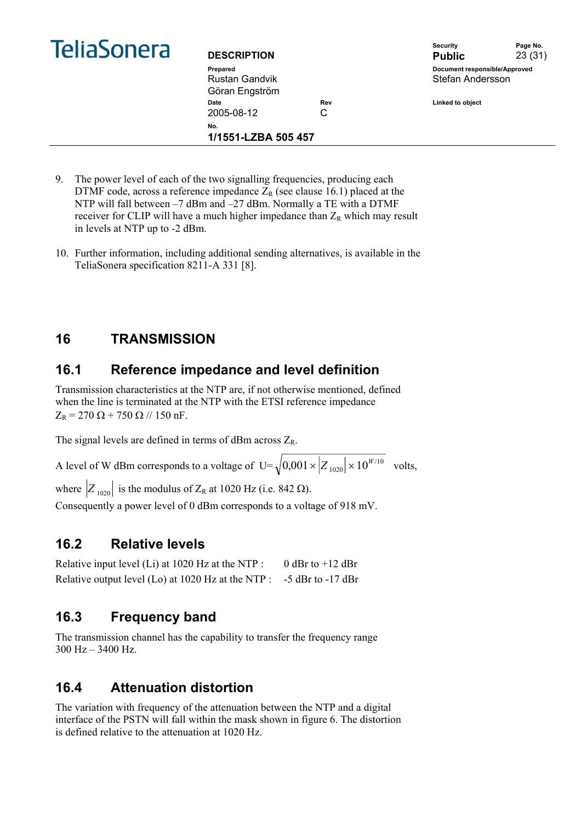|  | <b>TeliaSonera</b> |
|--|--------------------|
|  |                    |

| <b>DESCRIPTION</b>  |     | security<br><b>Public</b>     | rage No.<br>23(31) |
|---------------------|-----|-------------------------------|--------------------|
| Prepared            |     | Document responsible/Approved |                    |
| Rustan Gandvik      |     | Stefan Andersson              |                    |
| Göran Engström      |     |                               |                    |
| Date                | Rev |                               |                    |
| 2005-08-12<br>C     |     |                               |                    |
| No.                 |     |                               |                    |
| 1/1551-LZBA 505 457 |     |                               |                    |



- 9. The power level of each of the two signalling frequencies, producing each DTMF code, across a reference impedance  $Z_R$  (see clause 16.1) placed at the NTP will fall between –7 dBm and –27 dBm. Normally a TE with a DTMF receiver for CLIP will have a much higher impedance than  $Z_R$  which may result in levels at NTP up to -2 dBm.
- 10. Further information, including additional sending alternatives, is available in the TeliaSonera specification 8211-A 331 [8].

## **16 TRANSMISSION**

## **16.1 Reference impedance and level definition**

Transmission characteristics at the NTP are, if not otherwise mentioned, defined when the line is terminated at the NTP with the ETSI reference impedance  $Z_R = 270 \Omega + 750 \Omega / 150 \text{ nF}.$ 

The signal levels are defined in terms of dBm across  $Z_R$ .

A level of W dBm corresponds to a voltage of  $U = \sqrt{0.001 \times |Z_{1020}|} \times 10^{W/10}$  volts,

where  $|Z_{1020}|$  is the modulus of  $Z_R$  at 1020 Hz (i.e. 842  $\Omega$ ).

Consequently a power level of 0 dBm corresponds to a voltage of 918 mV.

### **16.2 Relative levels**

Relative input level (Li) at 1020 Hz at the NTP :  $\qquad$  0 dBr to +12 dBr Relative output level (Lo) at 1020 Hz at the NTP : -5 dBr to -17 dBr

## **16.3 Frequency band**

The transmission channel has the capability to transfer the frequency range  $300$  Hz  $- 3400$  Hz.

## **16.4 Attenuation distortion**

The variation with frequency of the attenuation between the NTP and a digital interface of the PSTN will fall within the mask shown in figure 6. The distortion is defined relative to the attenuation at 1020 Hz.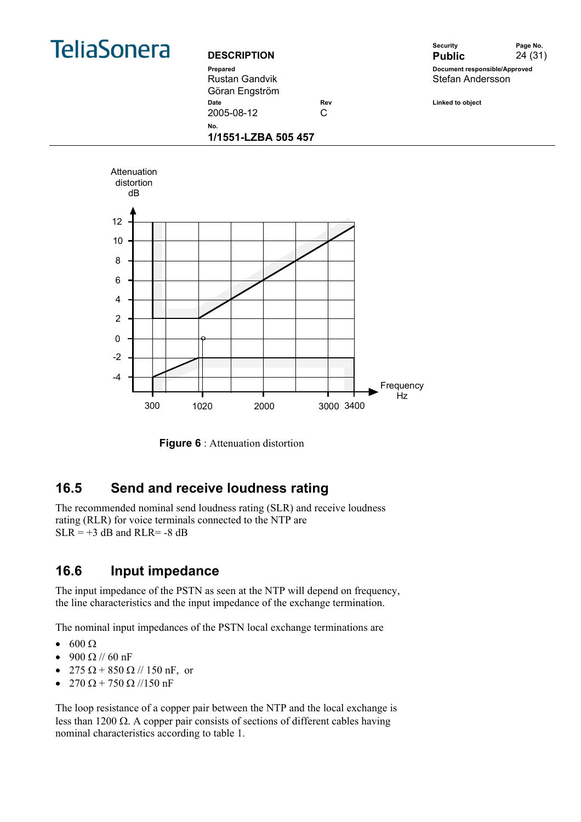

Rustan Gandvik Göran Engström



2005-08-12 C

Date **Date Rev** Rev **Linked to object** 

**No. 1/1551-LZBA 505 457** 



**Figure 6** : Attenuation distortion

## **16.5 Send and receive loudness rating**

The recommended nominal send loudness rating (SLR) and receive loudness rating (RLR) for voice terminals connected to the NTP are  $SLR = +3$  dB and RLR= -8 dB

## **16.6 Input impedance**

The input impedance of the PSTN as seen at the NTP will depend on frequency, the line characteristics and the input impedance of the exchange termination.

The nominal input impedances of the PSTN local exchange terminations are

- $\bullet$  600  $\Omega$
- 900 Ω // 60 nF
- 275  $\Omega$  + 850  $\Omega$  // 150 nF, or
- 270  $\Omega$  + 750  $\Omega$  //150 nF

The loop resistance of a copper pair between the NTP and the local exchange is less than 1200  $\Omega$ . A copper pair consists of sections of different cables having nominal characteristics according to table 1.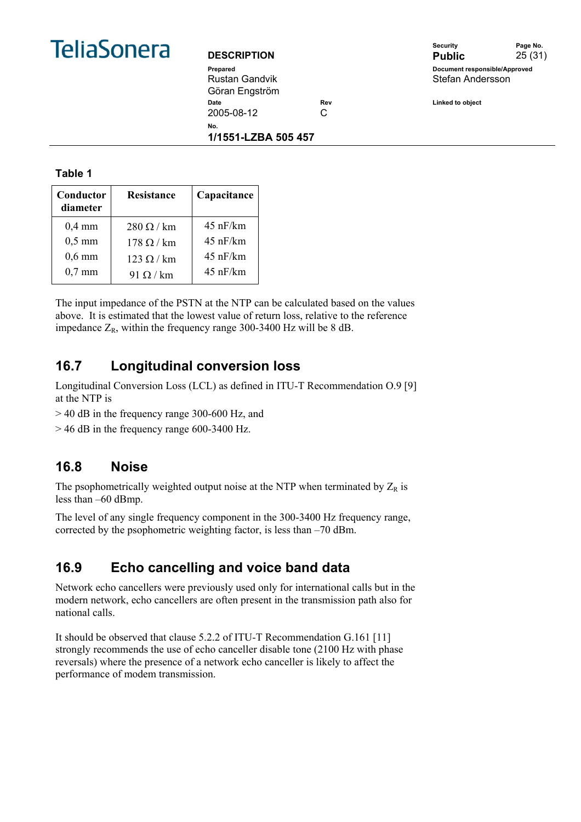

#### **DESCRIPTION**

|                    | Security                      | Page No. |
|--------------------|-------------------------------|----------|
| <b>DESCRIPTION</b> | <b>Public</b>                 | 25(31)   |
| Prepared           | Document responsible/Approved |          |
| Rustan Gandvik     | Stefan Andersson              |          |
| Göran Engström     |                               |          |

**Date Date Rev Rev Rev Linked to object** 2005-08-12 C

**No.** 

**1/1551-LZBA 505 457** 

**Table 1** 

| Conductor<br>diameter | Resistance       | Capacitance        |
|-----------------------|------------------|--------------------|
| $0.4 \text{ mm}$      | $280 \Omega/km$  | $45$ nF/km         |
| $0,5$ mm              | $178 \Omega/km$  | $45 \text{ nF/km}$ |
| $0,6$ mm              | $123 \Omega/km$  | $45$ nF/km         |
| $0,7 \text{ mm}$      | 91 $\Omega$ / km | $45$ nF/km         |

The input impedance of the PSTN at the NTP can be calculated based on the values above. It is estimated that the lowest value of return loss, relative to the reference impedance  $Z_R$ , within the frequency range 300-3400 Hz will be 8 dB.

## **16.7 Longitudinal conversion loss**

Longitudinal Conversion Loss (LCL) as defined in ITU-T Recommendation O.9 [9] at the NTP is

> 40 dB in the frequency range 300-600 Hz, and

> 46 dB in the frequency range 600-3400 Hz.

## **16.8 Noise**

The psophometrically weighted output noise at the NTP when terminated by  $Z_R$  is less than –60 dBmp.

The level of any single frequency component in the 300-3400 Hz frequency range, corrected by the psophometric weighting factor, is less than –70 dBm.

## **16.9 Echo cancelling and voice band data**

Network echo cancellers were previously used only for international calls but in the modern network, echo cancellers are often present in the transmission path also for national calls.

It should be observed that clause 5.2.2 of ITU-T Recommendation G.161 [11] strongly recommends the use of echo canceller disable tone (2100 Hz with phase reversals) where the presence of a network echo canceller is likely to affect the performance of modem transmission.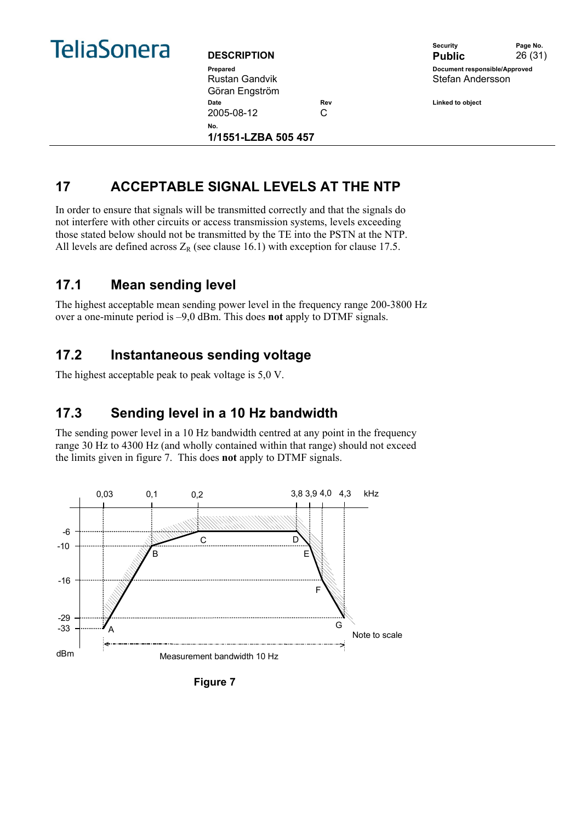

**DESCRIPTION** Rustan Gandvik Göran Engström **Date Date Rev Rev Rev Linked to object** 2005-08-12 C **No.** 

**1/1551-LZBA 505 457** 

|                    | Security                      | Page No. |
|--------------------|-------------------------------|----------|
| <b>DESCRIPTION</b> | <b>Public</b>                 | 26(31)   |
| Prepared           | Document responsible/Approved |          |
| Rustan Gandvik     | Stefan Andersson              |          |

## **17 ACCEPTABLE SIGNAL LEVELS AT THE NTP**

In order to ensure that signals will be transmitted correctly and that the signals do not interfere with other circuits or access transmission systems, levels exceeding those stated below should not be transmitted by the TE into the PSTN at the NTP. All levels are defined across  $Z_R$  (see clause 16.1) with exception for clause 17.5.

## **17.1 Mean sending level**

The highest acceptable mean sending power level in the frequency range 200-3800 Hz over a one-minute period is –9,0 dBm. This does **not** apply to DTMF signals.

## **17.2 Instantaneous sending voltage**

The highest acceptable peak to peak voltage is 5,0 V.

## **17.3 Sending level in a 10 Hz bandwidth**

The sending power level in a 10 Hz bandwidth centred at any point in the frequency range 30 Hz to 4300 Hz (and wholly contained within that range) should not exceed the limits given in figure 7. This does **not** apply to DTMF signals.



**Figure 7**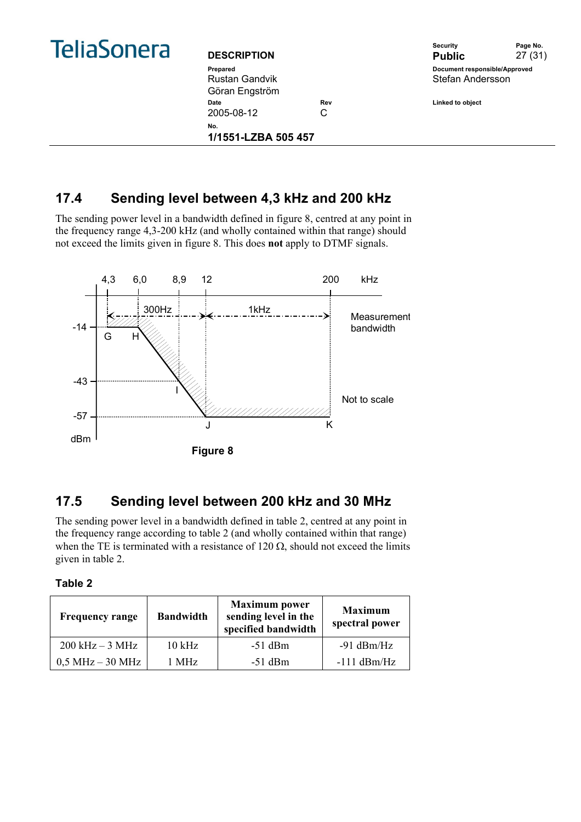|  | <b>TeliaSonera</b> |
|--|--------------------|
|  |                    |

| <b>DESCRIPTION</b>  |     | <b>Security</b><br><b>Public</b> | Page No.<br>27 (31) |
|---------------------|-----|----------------------------------|---------------------|
| Prepared            |     | Document responsible/Approved    |                     |
| Rustan Gandvik      |     | Stefan Andersson                 |                     |
| Göran Engström      |     |                                  |                     |
| <b>Date</b>         | Rev | Linked to object                 |                     |
| 2005-08-12          | C   |                                  |                     |
| No.                 |     |                                  |                     |
| 1/1551-LZBA 505 457 |     |                                  |                     |



## **17.4 Sending level between 4,3 kHz and 200 kHz**

The sending power level in a bandwidth defined in figure 8, centred at any point in the frequency range 4,3-200 kHz (and wholly contained within that range) should not exceed the limits given in figure 8. This does **not** apply to DTMF signals.



## **17.5 Sending level between 200 kHz and 30 MHz**

The sending power level in a bandwidth defined in table 2, centred at any point in the frequency range according to table 2 (and wholly contained within that range) when the TE is terminated with a resistance of 120  $\Omega$ , should not exceed the limits given in table 2.

| anı | - |
|-----|---|
|     |   |

| <b>Frequency range</b> | <b>Bandwidth</b> | <b>Maximum</b> power<br>sending level in the<br>specified bandwidth | <b>Maximum</b><br>spectral power |
|------------------------|------------------|---------------------------------------------------------------------|----------------------------------|
| $200$ kHz $-3$ MHz     | $10$ kHz         | $-51$ dBm                                                           | $-91$ dBm/Hz                     |
| $0.5$ MHz $-$ 30 MHz   | 1 MHz            | $-51$ dBm                                                           | $-111$ dBm/Hz                    |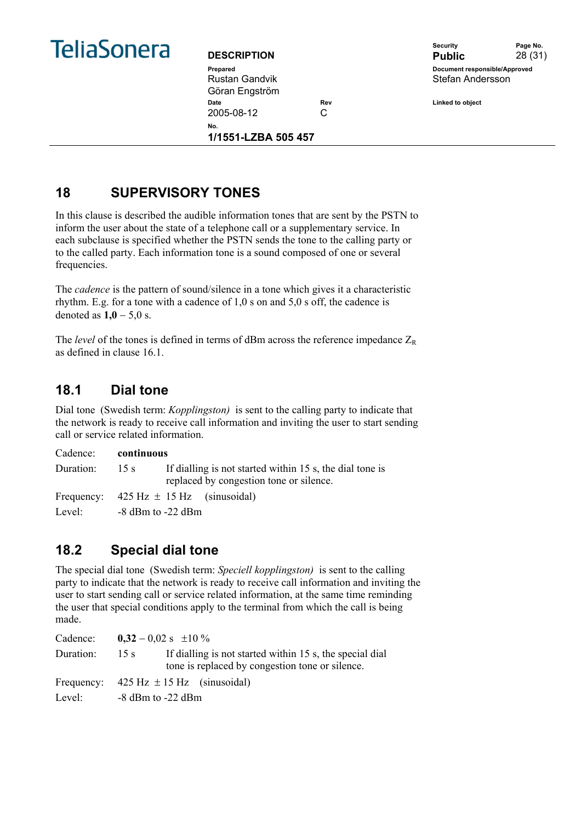

Rustan Gandvik Göran Engström Date **Date Rev** Rev **Linked to object** 2005-08-12 C **No.** 

**1/1551-LZBA 505 457** 



## **18 SUPERVISORY TONES**

In this clause is described the audible information tones that are sent by the PSTN to inform the user about the state of a telephone call or a supplementary service. In each subclause is specified whether the PSTN sends the tone to the calling party or to the called party. Each information tone is a sound composed of one or several frequencies.

The *cadence* is the pattern of sound/silence in a tone which gives it a characteristic rhythm. E.g. for a tone with a cadence of 1,0 s on and 5,0 s off, the cadence is denoted as **1,0** − 5,0 s.

The *level* of the tones is defined in terms of dBm across the reference impedance  $Z_R$ as defined in clause 16.1.

## **18.1 Dial tone**

Dial tone (Swedish term: *Kopplingston)* is sent to the calling party to indicate that the network is ready to receive call information and inviting the user to start sending call or service related information.

|           | Cadence: continuous                                                                                         |
|-----------|-------------------------------------------------------------------------------------------------------------|
| Duration: | If dialling is not started within 15 s, the dial tone is<br>15 s<br>replaced by congestion tone or silence. |
|           | Frequency: $425 \text{ Hz} \pm 15 \text{ Hz}$ (sinusoidal)                                                  |
| Level:    | $-8$ dBm to $-22$ dBm                                                                                       |

## **18.2 Special dial tone**

The special dial tone (Swedish term: *Speciell kopplingston)* is sent to the calling party to indicate that the network is ready to receive call information and inviting the user to start sending call or service related information, at the same time reminding the user that special conditions apply to the terminal from which the call is being made.

| Cadence:  |                       | $0,32 - 0,02$ s $\pm 10\%$                                                                                  |
|-----------|-----------------------|-------------------------------------------------------------------------------------------------------------|
| Duration: | 15 s                  | If dialling is not started within 15 s, the special dial<br>tone is replaced by congestion tone or silence. |
|           |                       | Frequency: $425 \text{ Hz} \pm 15 \text{ Hz}$ (sinusoidal)                                                  |
| Level:    | $-8$ dBm to $-22$ dBm |                                                                                                             |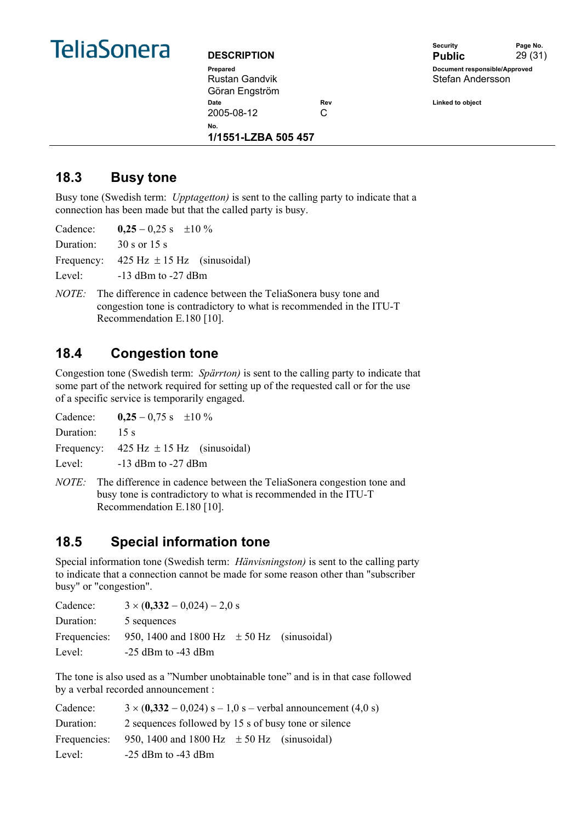

| <b>DESCRIPTION</b> |     |
|--------------------|-----|
| Prepared           |     |
| Rustan Gandvik     |     |
| Göran Engström     |     |
| Date               | Rev |
| 2005-08-12         | C   |
| NO.                |     |

**1/1551-LZBA 505 457** 

Security **Page No. DESCRIPTION Public** 29 (31) **Pocument responsible/Approved** Stefan Andersson

**Date Rev Linked to object** 

**18.3 Busy tone** 

Busy tone (Swedish term: *Upptagetton)* is sent to the calling party to indicate that a connection has been made but that the called party is busy.

Cadence: **0,25** – 0,25 s  $\pm 10\%$ Duration: 30 s or 15 s Frequency:  $425 \text{ Hz} \pm 15 \text{ Hz}$  (sinusoidal) Level: -13 dBm to -27 dBm

*NOTE:* The difference in cadence between the TeliaSonera busy tone and congestion tone is contradictory to what is recommended in the ITU-T Recommendation E.180 [10].

## **18.4 Congestion tone**

Congestion tone (Swedish term: *Spärrton)* is sent to the calling party to indicate that some part of the network required for setting up of the requested call or for the use of a specific service is temporarily engaged.

Cadence:  $0,25 - 0,75$  s  $\pm 10\%$ Duration: 15 s Frequency:  $425 \text{ Hz} \pm 15 \text{ Hz}$  (sinusoidal) Level: -13 dBm to -27 dBm

*NOTE:* The difference in cadence between the TeliaSonera congestion tone and busy tone is contradictory to what is recommended in the ITU-T Recommendation E.180 [10].

## **18.5 Special information tone**

Special information tone (Swedish term: *Hänvisningston)* is sent to the calling party to indicate that a connection cannot be made for some reason other than "subscriber busy" or "congestion".

| Cadence:     | $3 \times (0,332 - 0,024) - 2,0$ s             |
|--------------|------------------------------------------------|
| Duration:    | 5 sequences                                    |
| Frequencies: | 950, 1400 and 1800 Hz $\pm$ 50 Hz (sinusoidal) |
| Level:       | $-25$ dBm to $-43$ dBm                         |

The tone is also used as a "Number unobtainable tone" and is in that case followed by a verbal recorded announcement :

| Cadence:     | $3 \times (0,332 - 0,024)$ s – 1,0 s – verbal announcement (4,0 s) |  |  |  |
|--------------|--------------------------------------------------------------------|--|--|--|
| Duration:    | 2 sequences followed by 15 s of busy tone or silence               |  |  |  |
| Frequencies: | 950, 1400 and 1800 Hz $\pm$ 50 Hz (sinusoidal)                     |  |  |  |
| Level:       | $-25$ dBm to $-43$ dBm                                             |  |  |  |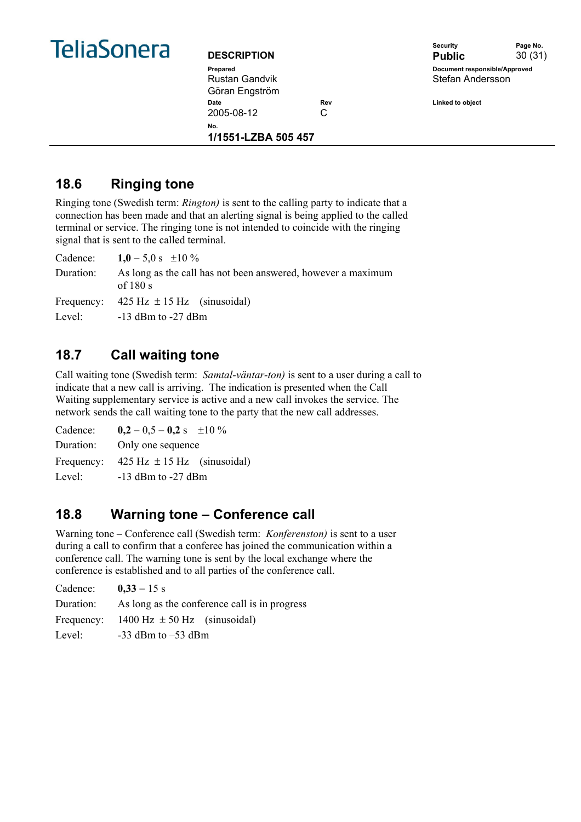

| <b>DESCRIPTION</b> |     |
|--------------------|-----|
| Prepared           |     |
| Rustan Gandvik     |     |
| Göran Engström     |     |
| Date               | Rev |
| 2005-08-12         |     |
| N∩                 |     |

**1/1551-LZBA 505 457** 

Security **Page No. DESCRIPTION Public** 30 (31) **Pocument responsible/Approved** Stefan Andersson

**Date Rev Linked to object** 

## **18.6 Ringing tone**

Ringing tone (Swedish term: *Rington)* is sent to the calling party to indicate that a connection has been made and that an alerting signal is being applied to the called terminal or service. The ringing tone is not intended to coincide with the ringing signal that is sent to the called terminal.

| Cadence: $1,0 - 5,0 s \pm 10 \%$                                         |
|--------------------------------------------------------------------------|
| As long as the call has not been answered, however a maximum<br>of 180 s |
| Frequency: $425 \text{ Hz} \pm 15 \text{ Hz}$ (sinusoidal)               |
| Level: $-13$ dBm to $-27$ dBm                                            |
|                                                                          |

## **18.7 Call waiting tone**

Call waiting tone (Swedish term: *Samtal-väntar-ton)* is sent to a user during a call to indicate that a new call is arriving. The indication is presented when the Call Waiting supplementary service is active and a new call invokes the service. The network sends the call waiting tone to the party that the new call addresses.

Cadence:  $0,2 - 0.5 - 0.2$  s  $\pm 10\%$ Duration: Only one sequence Frequency:  $425 \text{ Hz} \pm 15 \text{ Hz}$  (sinusoidal) Level: -13 dBm to -27 dBm

## **18.8 Warning tone – Conference call**

Warning tone – Conference call (Swedish term: *Konferenston)* is sent to a user during a call to confirm that a conferee has joined the communication within a conference call. The warning tone is sent by the local exchange where the conference is established and to all parties of the conference call.

| Cadence:   | $0,33 - 15$ s                                 |
|------------|-----------------------------------------------|
| Duration:  | As long as the conference call is in progress |
| Frequency: | 1400 Hz $\pm$ 50 Hz (sinusoidal)              |
| Level:     | $-33$ dBm to $-53$ dBm                        |